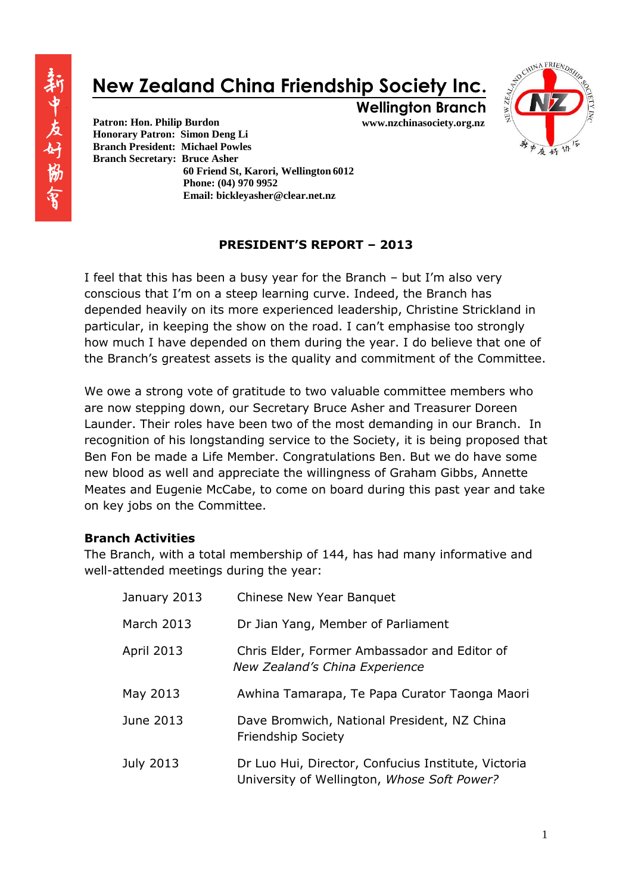# **New Zealand China Friendship Society Inc.**



**www.nzchinasociety.org.nz Wellington Branch**

**Patron: Hon. Philip Burdon Honorary Patron: Simon Deng Li Branch President: Michael Powles Branch Secretary: Bruce Asher 60 Friend St, Karori, Wellington 6012 Phone: (04) 970 9952 Email: bickleyasher@clear.net.nz** 

## **PRESIDENT'S REPORT – 2013**

I feel that this has been a busy year for the Branch – but I'm also very conscious that I'm on a steep learning curve. Indeed, the Branch has depended heavily on its more experienced leadership, Christine Strickland in particular, in keeping the show on the road. I can't emphasise too strongly how much I have depended on them during the year. I do believe that one of the Branch's greatest assets is the quality and commitment of the Committee.

We owe a strong vote of gratitude to two valuable committee members who are now stepping down, our Secretary Bruce Asher and Treasurer Doreen Launder. Their roles have been two of the most demanding in our Branch. In recognition of his longstanding service to the Society, it is being proposed that Ben Fon be made a Life Member. Congratulations Ben. But we do have some new blood as well and appreciate the willingness of Graham Gibbs, Annette Meates and Eugenie McCabe, to come on board during this past year and take on key jobs on the Committee.

### **Branch Activities**

The Branch, with a total membership of 144, has had many informative and well-attended meetings during the year:

| January 2013      | Chinese New Year Banquet                                                                           |
|-------------------|----------------------------------------------------------------------------------------------------|
| March 2013        | Dr Jian Yang, Member of Parliament                                                                 |
| <b>April 2013</b> | Chris Elder, Former Ambassador and Editor of<br>New Zealand's China Experience                     |
| May 2013          | Awhina Tamarapa, Te Papa Curator Taonga Maori                                                      |
| June 2013         | Dave Bromwich, National President, NZ China<br><b>Friendship Society</b>                           |
| July 2013         | Dr Luo Hui, Director, Confucius Institute, Victoria<br>University of Wellington, Whose Soft Power? |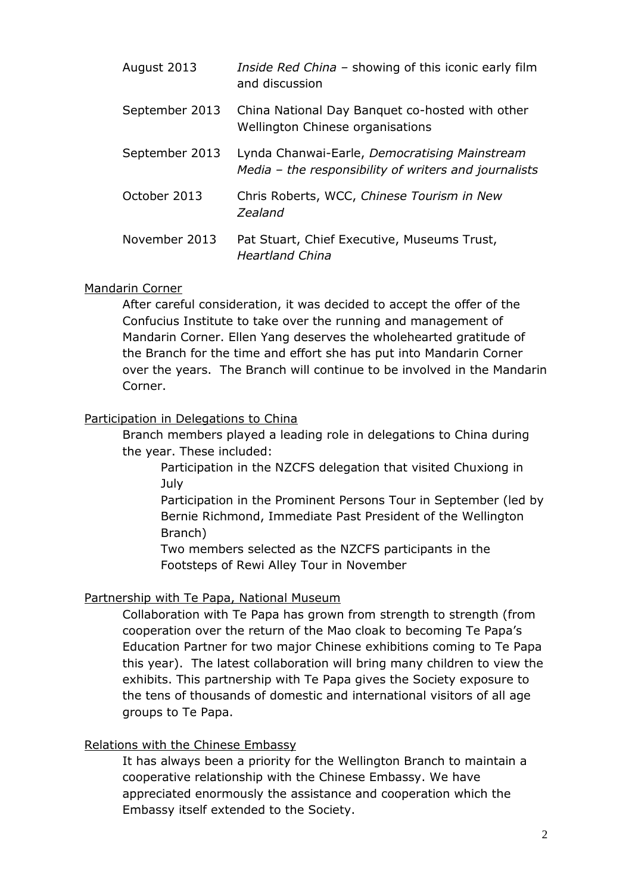| August 2013    | Inside Red China - showing of this iconic early film<br>and discussion                                 |
|----------------|--------------------------------------------------------------------------------------------------------|
| September 2013 | China National Day Banquet co-hosted with other<br>Wellington Chinese organisations                    |
| September 2013 | Lynda Chanwai-Earle, Democratising Mainstream<br>Media – the responsibility of writers and journalists |
| October 2013   | Chris Roberts, WCC, Chinese Tourism in New<br>Zealand                                                  |
| November 2013  | Pat Stuart, Chief Executive, Museums Trust,<br><b>Heartland China</b>                                  |

#### Mandarin Corner

After careful consideration, it was decided to accept the offer of the Confucius Institute to take over the running and management of Mandarin Corner. Ellen Yang deserves the wholehearted gratitude of the Branch for the time and effort she has put into Mandarin Corner over the years. The Branch will continue to be involved in the Mandarin Corner.

### Participation in Delegations to China

Branch members played a leading role in delegations to China during the year. These included:

Participation in the NZCFS delegation that visited Chuxiong in July

Participation in the Prominent Persons Tour in September (led by Bernie Richmond, Immediate Past President of the Wellington Branch)

Two members selected as the NZCFS participants in the Footsteps of Rewi Alley Tour in November

### Partnership with Te Papa, National Museum

Collaboration with Te Papa has grown from strength to strength (from cooperation over the return of the Mao cloak to becoming Te Papa's Education Partner for two major Chinese exhibitions coming to Te Papa this year). The latest collaboration will bring many children to view the exhibits. This partnership with Te Papa gives the Society exposure to the tens of thousands of domestic and international visitors of all age groups to Te Papa.

### Relations with the Chinese Embassy

It has always been a priority for the Wellington Branch to maintain a cooperative relationship with the Chinese Embassy. We have appreciated enormously the assistance and cooperation which the Embassy itself extended to the Society.